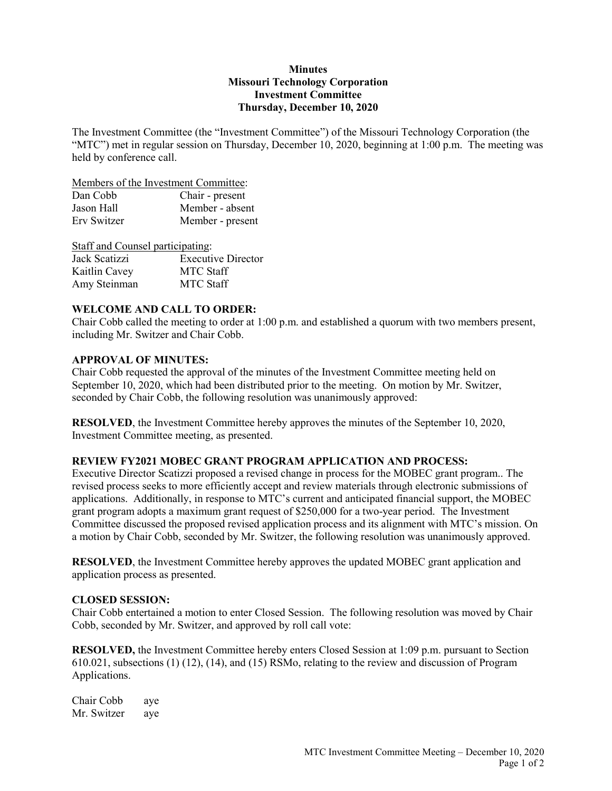### **Minutes Missouri Technology Corporation Investment Committee Thursday, December 10, 2020**

The Investment Committee (the "Investment Committee") of the Missouri Technology Corporation (the "MTC") met in regular session on Thursday, December 10, 2020, beginning at 1:00 p.m. The meeting was held by conference call.

Members of the Investment Committee:

| Dan Cobb    | Chair - present  |
|-------------|------------------|
| Jason Hall  | Member - absent  |
| Erv Switzer | Member - present |

| Staff and Counsel participating: |                           |
|----------------------------------|---------------------------|
| Jack Scatizzi                    | <b>Executive Director</b> |
| Kaitlin Cavey                    | <b>MTC</b> Staff          |
| Amy Steinman                     | <b>MTC Staff</b>          |

# **WELCOME AND CALL TO ORDER:**

Chair Cobb called the meeting to order at 1:00 p.m. and established a quorum with two members present, including Mr. Switzer and Chair Cobb.

## **APPROVAL OF MINUTES:**

Chair Cobb requested the approval of the minutes of the Investment Committee meeting held on September 10, 2020, which had been distributed prior to the meeting. On motion by Mr. Switzer, seconded by Chair Cobb, the following resolution was unanimously approved:

**RESOLVED**, the Investment Committee hereby approves the minutes of the September 10, 2020, Investment Committee meeting, as presented.

# **REVIEW FY2021 MOBEC GRANT PROGRAM APPLICATION AND PROCESS:**

Executive Director Scatizzi proposed a revised change in process for the MOBEC grant program.. The revised process seeks to more efficiently accept and review materials through electronic submissions of applications. Additionally, in response to MTC's current and anticipated financial support, the MOBEC grant program adopts a maximum grant request of \$250,000 for a two-year period. The Investment Committee discussed the proposed revised application process and its alignment with MTC's mission. On a motion by Chair Cobb, seconded by Mr. Switzer, the following resolution was unanimously approved.

**RESOLVED**, the Investment Committee hereby approves the updated MOBEC grant application and application process as presented.

## **CLOSED SESSION:**

Chair Cobb entertained a motion to enter Closed Session. The following resolution was moved by Chair Cobb, seconded by Mr. Switzer, and approved by roll call vote:

**RESOLVED,** the Investment Committee hereby enters Closed Session at 1:09 p.m. pursuant to Section 610.021, subsections (1) (12), (14), and (15) RSMo, relating to the review and discussion of Program Applications.

Chair Cobb aye Mr. Switzer aye